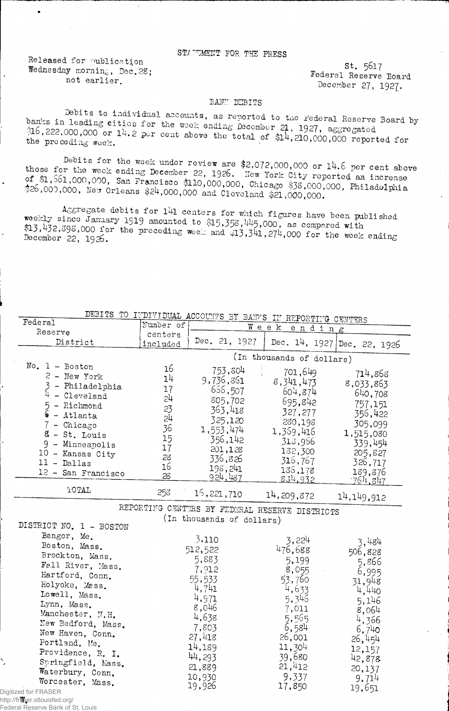## STATEMENT FOR THE PRESS

Released for publication Wednesday morning, Dec. 28; not earlier.

 $St. 5617$ Federal Reserve Board December 27, 1927.

## BANY DEBITS

Debits to individual accounts, as reported to the Federal Reserve Board by banks in leading cities for the week ending December 21, 1927, aggregated  $316, 222,000,000$  or 14.2 per cent above the total of  $314, 210,000,000$  reported for the preceding week.

Debits for the week under review are \$2,072,000,000 or 14.6 per cent above those for the week ending December 22, 1926. New York City reported an increase of \$1,561,000,000, San Francisco \$110,000,000, Chicago \$38,000,000, Philadolphia \$26,000,000, New Orleans \$24,000,000 and Cleveland \$21,000,000.

Aggregate debits for 141 centers for which figures have been published weekly since January 1919 amounted to \$15,358, 445,000, as compared with \$13,432,398,000 for the preceding week and \$13,341,274,000 for the week ending December 22, 1926.

| DEBITS TO INDIVIDUAL ACCOUNTS BY BANKS IN REPORTING CENTERS |           |                                                |                           |                             |
|-------------------------------------------------------------|-----------|------------------------------------------------|---------------------------|-----------------------------|
| Federal                                                     | Number of | Week<br>ending                                 |                           |                             |
| Reserve                                                     | centers   |                                                |                           |                             |
| District                                                    | included  | Dec. 21, 1927                                  |                           | Dec. 14, 1927 Dec. 22, 1926 |
|                                                             |           |                                                | (In thousands of dollars) |                             |
| $No. 1 - Boston$                                            | 16        | 753,804                                        | 701,649                   |                             |
| $2$ - New York                                              | 14        | 9,736,861                                      |                           | 714,868                     |
| $3$ - Philadelphia                                          | 17        | 666,507                                        | 8,341,473                 | 8,033,863                   |
| $\frac{1}{4}$ - Cleveland                                   | 24        | 805,702                                        | 604,874                   | 640,708                     |
|                                                             | 23        |                                                | 695,842                   | 757,151                     |
| $5 -$ Richmond<br>6 - Atlanta                               | 54        | 363,418                                        | 327,277                   | 356,422                     |
| $7$ - Chicago                                               | 36        | 325,120                                        | 280,198                   | 305,099                     |
| 8 - St. Louis                                               |           | 1,553,474                                      | 1,369,416                 | 1,515,080                   |
| 9 - Minneapolis                                             | 15        | 356,142                                        | 313,966                   | 339,454                     |
| 10 - Kansas City                                            | 17        | 201,128                                        | 132,300                   | 205,827                     |
| 11 - Dallas                                                 | 28        | 336,826                                        | 316,767                   | 326,717                     |
| 12 - San Francisco                                          | 16        | 198,241                                        | 136,178                   | 189,876                     |
|                                                             | 28        | 924,487                                        | 834.932                   | 764.847                     |
| TOTAL                                                       | 258       | 16,221,710                                     | 14,209,872                | 14,149,912                  |
|                                                             |           | REPORTING CENTERS BY FEDERAL RESERVE DISTRICTS |                           |                             |
|                                                             |           | (In thousands of dollars)                      |                           |                             |
| DISTRICT NO. 1 - BOSTON                                     |           |                                                |                           |                             |
| Bangor, Me.                                                 |           | 3,110                                          | 3,224                     |                             |
| Boston, Mass.                                               |           | 512,522                                        | 476,688                   | 3,484                       |
| Brockton, Mass.                                             |           | 5,883                                          |                           | 506,828                     |
| Fall River, Mass.                                           |           | 7,912                                          | 5,199                     | 5,866                       |
| Hartford, Conn.                                             |           |                                                | 8,055                     | 6,995                       |
| Holyoke, Mass.                                              |           | 55,533                                         | 53,760                    | 31,948                      |
| Lowell, Mass.                                               |           | 4,741                                          | 4,633                     | 4,440                       |
| Lynn, Mass.                                                 |           | 4,971                                          | 5,346                     | 5,146                       |
| Manchester, N.H.                                            |           | 8,046                                          | 7,011                     | 8,064                       |
| New Bedford, Mass.                                          |           | 4,638                                          | 5,565                     | 4,366                       |
| New Haven, Conn.                                            |           | 7,803                                          | 6,584                     | 6,740                       |
| Portland, Me.                                               |           | 27,418                                         | 26,001                    | 26,454                      |
| Providence, R. I.                                           |           | 14,189                                         | 11,304                    | 12,157                      |
| Springfield, Mass.                                          |           | 44,293                                         | 39,680                    | 42,878                      |
| Waterbury, Conn.                                            |           | 21,889                                         | 21,412                    | 20,137                      |
| Worcester, Mass.                                            |           | 10,930                                         | 9,337                     | 9,714                       |
| tized for FRASER                                            |           | 19,926                                         | 17,850                    | 19,651                      |

Digitiz http://freser.stlouisfed.org/

Federal Reserve Bank of St. Louis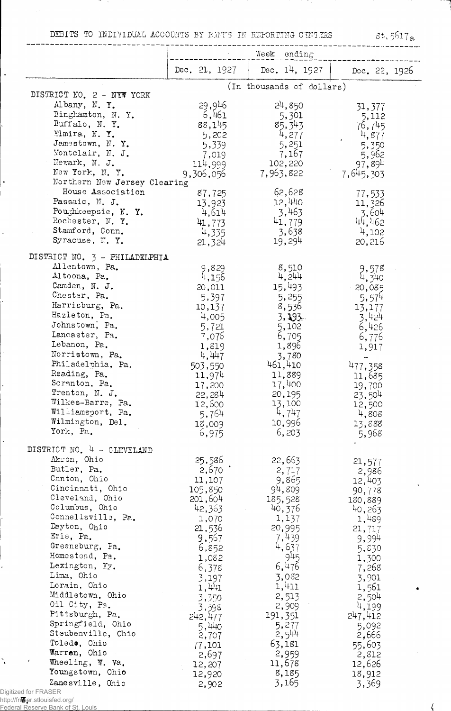DEBITS TO INDIVIDUAL ACCOUNTS BY BANTS IN REPORTING CENTERS

 $31.5617a$ 

|                                                       | Week ending   |                           |                 |
|-------------------------------------------------------|---------------|---------------------------|-----------------|
|                                                       | Dec. 21, 1927 | Dec. $14, 1927$           | Dec. 22, 1926   |
| DISTRICT NO. 2 - NEW YORK                             |               | (In thousands of dollars) |                 |
| Albany, N.Y.                                          | 29,946        | 24,850                    |                 |
| Binghamton, N.Y.                                      | 6,461         | 5,301                     | 31,377          |
| Buffalo, N.Y.                                         | 88,145        | 85,343                    | 5,112<br>76,745 |
| Elmira, N.Y.                                          | 5,202         | 4,277                     | 4,877           |
| Jamestown, N.Y.                                       | 5,339         | 5,251                     | 5,350           |
| Montclair, N. J.                                      | 7,019         | 7,167                     | 5,962           |
| Newark, N. J.                                         | 114,999       | 102,220                   | 97,894          |
| New York, N.Y.                                        | 9,306,056     | 7,963,822                 | 7,645,303       |
| Northern New Jersey Clearing                          |               |                           |                 |
| House Association                                     | 87,725        | 62,628                    | 77,533          |
| Passaic, N. J.                                        | 13,923        | 12,440                    | 11,326          |
| Poughkeepsie, N.Y.                                    | 4,614         | 3,463                     | 3,604           |
| Rochester, N. Y.                                      | 41,773        | 41,779                    | 44,462          |
| Stamford, Conn.                                       | 4,335         | 3,638                     | 4,102           |
| Syracuse, N.Y.                                        | 21,324        | 19,294                    | 20,216          |
| DISTRICT NO. 3 - PHILADELPHIA                         |               |                           |                 |
| Allentown, Pa.                                        | 9,829         | 8,510                     | 9,578           |
| Altoona, Pa.                                          | 4,156         | 4,244                     | 4,340           |
| Camden, N. J.                                         | 20,011        | 15,493                    | 20,085          |
| Chester, Pa.                                          | 5,397         | 5,255                     | 5,574           |
| Harrisburg, Pa.                                       | 10,137        | 8,536                     | 13,177          |
| Hazleton, Pa.                                         | 4,005         | $3.193 -$                 | 3,424           |
| Johnstown, Pa.                                        | 5,721         | 5,102                     | 6,426           |
| Lancaster, Pa.                                        | 7,076         | 6,705                     | 6,776           |
| Lebanon, Pa.                                          | 1,819         | 1,896                     | 1,917           |
| Norristown, Pa.                                       | 4,447         | 3,780                     |                 |
| Philadelphia, Pa.                                     | 503,550       | 461,410                   | 477,358         |
| Reading, Pa.                                          | 11,974        | 11,389                    | 11,685          |
| Scranton, Pa.                                         | 17,200        | 17,400                    | 19,700          |
| Trenton, N. J.                                        | 22,284        | 20,195                    | 23,504          |
| Wilkes-Barre, Pa.                                     | 12,600        | 13,100                    | 12,500          |
| Williamsport, Pa.                                     | 5,764         | 4,747                     | 4,808           |
| Wilmington, Del.                                      | 13,009        | 10,996                    | 13,888          |
| York, Pa.                                             | 6,975         | 6,203                     | 5,968           |
| DISTRICT NO. 4 - CLEVELAND                            |               |                           |                 |
| Akron, Ohio                                           | 25,586        | 22,663                    | 21,577          |
| Butler, Pa.                                           | 2,670         | 2,717                     | 2,986           |
| Canton, Ohio                                          | 11,107        | 9,865                     | 12,403          |
| Cincinnati, Ohio                                      | 105,850       | 94,809                    | 90,778          |
| Cleveland, Ohio                                       | 201,604       | 185,528                   | 130,889         |
| Columbus, Ohio                                        | 42,363        | 40,376                    | 40,263          |
| Connellsville, Pa.                                    | 1,070         | 1,137                     | 1,489           |
| Dayton, Ohio                                          | 21,536        | 20,995                    | 21,717          |
| Erie, Pa.                                             | 9,567         | 7,439                     | 9,994           |
| Greensburg, Pa.                                       | 6,852         | 4,637                     | 5,830           |
| Homestead, Pa.                                        | 1,082         | 945                       | 1,300           |
| Lexington, Ky.                                        | 6,378         | 6,476                     | 7,268           |
| Lima, Ohio                                            | 3,197         | 3,082                     | 3,901           |
| Lorain, Ohio                                          | 1,441         | 1,411                     | 1,561           |
| Middletown, Ohio                                      | 3,350         | 2,513                     | 2,504           |
| Oil City, Pa.                                         | 3,598         | 2,909                     | 4,199           |
| Pittsburgh, Pa.                                       | 242,477       | 191, 351                  | 247,412         |
| Springfield, Ohio                                     | 5,440         | 5,277                     | 5,092           |
| Steubenville, Ohio                                    | 2,707         | $2,5^{44}$                | 2,666           |
| Toledo, Ohio                                          | 77,101        | 63,181                    | 55,603          |
| Warran, Ohio                                          | 2,697         | 2,959                     | 2,812           |
| Wheeling, W. Va.                                      | 12,207        | 11,678                    | 12,626          |
| Youngstown, Ohio                                      | 12,920        | 8,185                     | 18,912          |
| Zanesville, Ohio                                      | 2,902         | 3,165                     | 3,369           |
| Digitized for FRASER<br>http://fraser.stlouisfed.org/ |               |                           |                 |
| Federal Reserve Bank of St. Louis                     |               |                           |                 |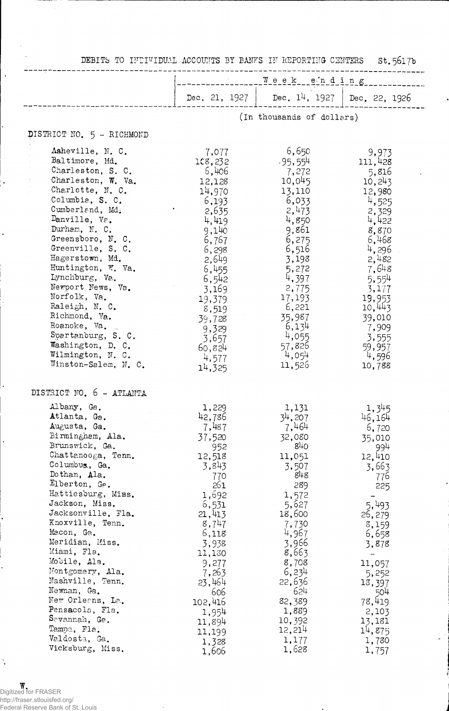| nament to the film through stockholds to themself it that offers a contingent                                                                                                                                                                                                                                                                                                                                                                                                                              |                                                                                                                                                                                                                                          |                                                                                                                                                                                                                                           | <b>DA</b> 707 LD                                                                                                                                                                                                      |
|------------------------------------------------------------------------------------------------------------------------------------------------------------------------------------------------------------------------------------------------------------------------------------------------------------------------------------------------------------------------------------------------------------------------------------------------------------------------------------------------------------|------------------------------------------------------------------------------------------------------------------------------------------------------------------------------------------------------------------------------------------|-------------------------------------------------------------------------------------------------------------------------------------------------------------------------------------------------------------------------------------------|-----------------------------------------------------------------------------------------------------------------------------------------------------------------------------------------------------------------------|
|                                                                                                                                                                                                                                                                                                                                                                                                                                                                                                            | Week ending                                                                                                                                                                                                                              |                                                                                                                                                                                                                                           |                                                                                                                                                                                                                       |
|                                                                                                                                                                                                                                                                                                                                                                                                                                                                                                            |                                                                                                                                                                                                                                          | Dec. 21, 1927   Dec. $14$ , 1927   Dec. 22, 1926                                                                                                                                                                                          |                                                                                                                                                                                                                       |
|                                                                                                                                                                                                                                                                                                                                                                                                                                                                                                            |                                                                                                                                                                                                                                          | (In thousands of dollars)                                                                                                                                                                                                                 |                                                                                                                                                                                                                       |
| DISTRICT NO. 5 - RICHMOND                                                                                                                                                                                                                                                                                                                                                                                                                                                                                  |                                                                                                                                                                                                                                          |                                                                                                                                                                                                                                           |                                                                                                                                                                                                                       |
| Asheville, N. C.<br>Baltimore, Md.<br>Charleston, S. C.<br>Charleston, W. Va.<br>Charlotte, N. C.<br>Columbia, S. C.<br>Cumberland, Md.<br>Danville, Va.<br>Durham, N. C.<br>Greensboro, N. C.<br>Greenville, S. C.<br>Hagerstown, Md.<br>Huntington, W. Va.<br>Lynchburg, Va.<br>Newport News, Va.<br>Norfolk, Va.<br>Raleigh, N. C.<br>Richmond, Va.<br>Roanoke, Va.<br>Spartanburg, S. C.<br>Washington, D. C.<br>Wilmington, N. C.<br>Winston-Salem, N. C.                                             | 7,077<br>108,232<br>6,406<br>12,128<br>14,970<br>6,193<br>2,635<br>4,419<br>9,140<br>6,767<br>6,298<br>2,649<br>6,455<br>6,542<br>3,169<br>19,379<br>8,519<br>39,728<br>9,329<br>3,657<br>60,824<br>4,577<br>14,325                      | 6,650<br>$-95,554$<br>7,272<br>10,045<br>13,110<br>6,033<br>2,473<br>4,850<br>9,861<br>6,275<br>6,516<br>3,198<br>5,272<br>4,397<br>2,775<br>17,193<br>6,221<br>35,987<br>6,134<br>4,055<br>57,826<br>4,054<br>11,526                     | 9,973<br>111,428<br>5,816<br>10,243<br>12,980<br>4,525<br>2,329<br>4,422<br>8,870<br>6,468<br>4,296<br>2,482<br>7,648<br>5,554<br>3,177<br>19,953<br>10,443<br>39,010<br>7,909<br>3,555<br>59,957<br>4,596<br>10,788  |
| DISTRICT NO. 6 - ATLANTA<br>Albany, Ga.<br>Atlanta, Ga.<br>Augusta, Ga.<br>Birmingham, Ala.<br>Brunswick, Ga.<br>Chattanooga, Tenn.<br>Columbus, Ga.<br>Dothan, Ala.<br>Elberton, Ge.<br>Hattiesburg, Mins.<br>Jackson, Miss.<br>Jacksonville, Fla.<br>Knoxville, Tenn.<br>Macon, Ga.<br>Meridian, Miss.<br>Miami, Fla.<br>Mobile, Ala.<br>Montgomery, Ala.<br>Nashville, Tenn.<br>Newnan, Ga.<br>New Orleans, La.<br>Pensacola, Fla.<br>Savannah, Ga.<br>Tampa, Fla.<br>Valdosta, Ga.<br>Vicksburg, Miss. | 1,229<br>42,786<br>7,487<br>37,520<br>952<br>12,518<br>3,843<br>770<br>261<br>1,692<br>6,531<br>21,413<br>8,747<br>6,118<br>3,938<br>11,130<br>9,277<br>7,263<br>23,464<br>606<br>102,416<br>1,954<br>11,894<br>11,199<br>1,328<br>1,606 | 1,131<br>34,207<br>7,464<br>32,080<br>$84$ O<br>11,051<br>3,507<br>848<br>289<br>1,572<br>5,627<br>18,600<br>7,730<br>4,967<br>3,966<br>8,663<br>8,708<br>6,234<br>22,636<br>624<br>82,389<br>1,889<br>10,392<br>12,214<br>1,177<br>1,628 | 1,345<br>46,164<br>6,720<br>35,010<br>994<br>12,410<br>3,663<br>776<br>225<br>5,493<br>26,279<br>8,159<br>6,658<br>3,878<br>11,057<br>5,252<br>13,397<br>504<br>78,419<br>2,103<br>13,181<br>14,875<br>1,780<br>1,757 |

 $\frac{1}{\sigma}$  )

DEBITS TO INDIVIDUAL ACCOUNTS BY BANKS IN REPORTING CENTERS St 5617b

**W**<br>Digitized for FRASER<br>http://fraser.stlouisfed.org/<br>Federal Reserve Bank of St. Louis

 $\ddot{\cdot}$ 

 $\ddot{\phantom{a}}$ 

 $\ddot{\phantom{0}}$ 

ļ4

 $\ddot{\phantom{0}}$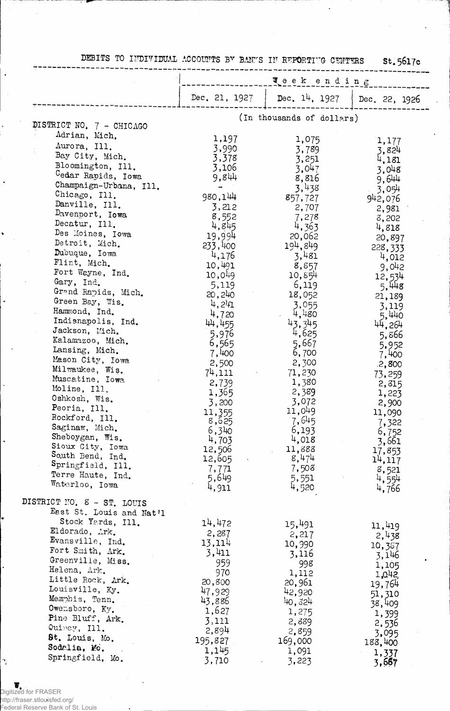|                          | Teek ending     |                           |                 |
|--------------------------|-----------------|---------------------------|-----------------|
|                          | Dec. 21, 1927   | Dec. $14$ , 1927          | Dec. 22, 1926   |
|                          |                 | (In thousands of dollars) |                 |
| DISTRICT NO. 7 - CHICAGO |                 |                           |                 |
| Adrian, Mich.            | 1,197           | 1,075                     | 1,177           |
| Aurora, Ill.             | 3,990           | 3,789                     | 3,824           |
| Bay City, Mich.          | 3,378           | 3,251                     | 4,181           |
| Bloomington, Ill.        | 3,106           | 3.047                     | 3,048           |
| Cedar Rapids, Iowa       | 9,844           | 8,816                     | 9,644           |
| Champaign-Urbana, Ill.   |                 | 3,438                     | 3,054           |
| Chicago, Ill.            | 980,144         | 857,727                   |                 |
| Danville, Ill.           | 3,212           | 2,707                     | 942,076         |
| Davenport, Iowa          | 8,552           | 7,278                     | 2,981           |
| Decatur, Ill.            | 4,845           | 4,363                     | 8,202           |
| Des Moines, Iowa         | 19,994          | 20,062                    | 4,818           |
| Detroit, Mich.           | 233,400         | 194,849                   | 20,897          |
| Dubuque, Iowa            | 4,176           | 3,481                     | 228, 333        |
| Flint, Mich.             | 10,491          | 8,857                     | 4,012<br>9,042  |
| Fort Wayne, Ind.         | 10,049          | 10,854                    |                 |
| Gary, Ind.               | 5,119           | 6,119                     | 12,534          |
| Grand Rapids, Mich.      | 20, 240         | 18,052                    | 5,448           |
| Green Bay, Wis.          | 4,241           | 3,055                     | 21,189          |
| Hammond, Ind.            | 4,720           | 4,480                     | 3,119           |
| Indianapolis, Ind.       | 44,455          | 43,345                    | 5,440           |
| Jackson, Mich.           | 5,976           | 4,625                     | 44,264          |
| Kalamazoo, Mich.         | 6,565           | 5,667                     | 5,866           |
| Lansing, Mich.           | 7,400           | 6,700                     | 5,952           |
| Mason City, Iowa         | 2,500           | 2,300                     | 7,400           |
| Milwaukee, Wis.          | 74,111          | 71,230                    | .2,800          |
| Muscatine, Iowa          | 2,739           | 1,380                     | 73,259          |
| Moline, Ill.             | 1,365           | 2,389                     | 2,315           |
| Oshkosh, Wis.            | 3,200           | 3,072                     | 1,223           |
| Peoria, Ill.             |                 | 11,049                    | 2,900           |
| Rockford, Ill.           | 11,355<br>8,625 | 7,645                     | 11,090          |
| Saginaw, Mich.           | 6,340           | 6,193                     | 7,322           |
| Sheboygan, Wis.          | 4,703           | 4,018                     | 6,752           |
| Sioux City, Iowa         | 12,506          | 11,888                    | 3,661<br>17,853 |
| South Bend, Ind.         | 12,605          | 8,474                     | 14,117          |
| Springfield, Ill.        | 7,771           | 7,508                     | 8,521           |
| Terre Haute, Ind.        | 5,649           | 5,551                     | 4,554           |
| Waterloo, Iowa           | 4,911           | 4,520                     | 4,766           |

DEBITS TO INDIVIDUAL ACCOUNTS BY BAN'S IN REPORTIVG CENTERS  $St.5617c$ 

DISTRICT NO. 8 - ST. LOUIS East St. Louis and Nat'l Stock Yards, Ill. 14,472 15,491  $\frac{11,419}{2,438}$ Eldorado, Ark. 2,287  $2,217$ Evansville, Ind.<br>Fort Smith, Ark.<br>Greenville, Miss.  $13,114$ 10,990 10,387 3,411 3,116 3,146  $\frac{959}{970}$  $998$ <br>1,112 1,105 Helena, Ark.  $1,042$ Little Rock, Ark.  $20,961$ <br>42,920 20,800 19,764 Louisville, Ky.  $\frac{47}{47}$ , 929<br>43, 886  $\frac{51,310}{38,409}$ <br> $\frac{1,399}{1,399}$ Memphis, Tenn.<br>Owensboro, Ky.<br>Pine Bluff, Ark.  $40,324$ 1,627 1,275  $3,111$  $2,889$ 2,536<br>3,095 Quincy, Ill. 2,894 2,859 St. Louis, Mo. 195,827 169,000 188,400 Sodalia, Mo. 1,091 1,145  $1,337$ <br>3,667 Springfield, Mo.  $3,710$  $3,223$ 

**W**<br>Digitized for FRASER http://fraser.stlouisfed.org/

Ń.

Federal Reserve Bank of St. Louis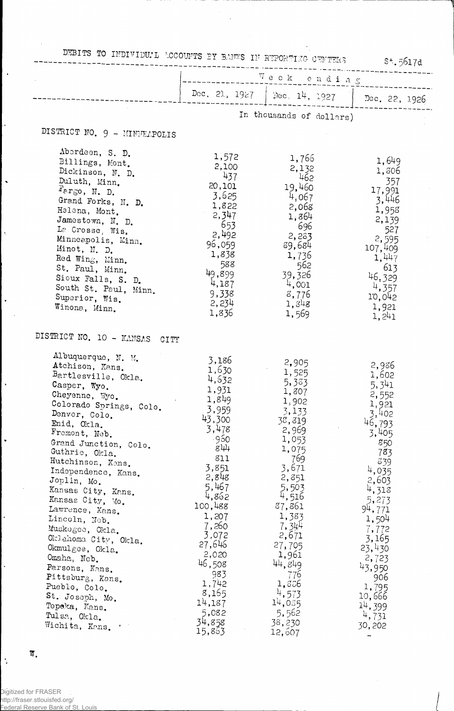|                                         | $S^{+}$ . 5617d<br>Week ending |                               |                 |  |
|-----------------------------------------|--------------------------------|-------------------------------|-----------------|--|
|                                         |                                | Dec. 21, 1927   Dec. 14, 1927 | Dec. 22, 1926   |  |
|                                         |                                | In thousands of dollars)      |                 |  |
| DISTRICT NO. 9 - MINTEAPOLIS            |                                |                               |                 |  |
| Aberdeen, S. D.                         | 1,572                          | 1,766                         |                 |  |
| Billings, Mont.                         | 2,100                          | 2,132                         | 1,649           |  |
| Dickinson, N. D.                        | 437                            | 462                           | 1,306           |  |
| Duluth, Minn.                           | 20,101                         | 19,460                        | - 357           |  |
| $F_{\text{P.F},\text{O}}$ , N. D.       | 3,625                          | 4,067                         | 17,991          |  |
| Grand Forks, N. D.                      | 1,822                          | 2,068                         | 3,446           |  |
| Helena, Mont.                           | 2,347                          | 1,864                         | 1,958           |  |
| Jamestown, N. D.                        | - 653                          | - 696                         | 2,139           |  |
| La Crosse, Wis.                         | 2,492                          | 2,283                         | 527<br>2,595    |  |
| Minneapolis, Minn.<br>Minot, N. D.      | 96,059                         | 89,684                        | 107,409         |  |
| Red Wing, Minn.                         | 1,838                          | 1,736                         | 1,447           |  |
| St. Paul, Minn.                         | 588                            | 562                           | 613             |  |
| Sioux Falls, S. D.                      | 49,899                         | 39,326                        | 46.329          |  |
| South St. Paul, Minn.                   | 4,187                          | 4,001                         | 4,357           |  |
| Superior, Wis.                          | 9,338                          | 8,776                         | 10,042          |  |
| Winona, Minn.                           | 2,234                          | 1,848                         | 1,921           |  |
|                                         | 1,836                          | 1,569                         | 1,241           |  |
| DISTRICT NO. 10 - KANSAS CITY           |                                |                               |                 |  |
| Albuquerque, N. M.                      | 3,186                          | 2,905                         |                 |  |
| Atchison, Kans.                         | 1,630                          | 1,525                         | 2,936           |  |
| Bartlesville, Okla.                     | 4,632                          | 5,383                         | 1,602           |  |
| Casper, Wyo.                            | 1,931                          | 1,807                         | 5,341           |  |
| Cheyenne, Wyo.                          | 1,849                          | 1,902                         | 2,552           |  |
| Colorado Springs, Colo.                 | 3,959                          | 3,133                         | 1,921           |  |
| Denver, Colo.<br>Enid, Okla.            | 43,300                         | 38,819                        | 3,402<br>46,793 |  |
| Fremont, Neb.                           | 3,478                          | 2,969                         | 3,405           |  |
|                                         | -960                           | 1,053                         | 850             |  |
| Grand Junction, Colo.<br>Guthrie, Okla. | 844                            | 1,075                         | 783             |  |
| Hutchinson, Kans.                       | 811                            | 769                           | 839             |  |
| Independence, Kans.                     | 3,851                          | 3,671                         | 4,035           |  |
| Joplin, Mo.                             | 2,848                          | 2,851                         | 2,603           |  |
| Kansas City, Kans.                      | 5,467                          | 5,503                         | 4,313           |  |
| Kansas City, Mo.                        | 4,862                          | 4,516                         | 5,273           |  |
| Lawrence, Kans.                         | 100,488                        | 37,861                        | 94,771          |  |
| Lincoln, Neb.                           | 1,207                          | 1,383                         | 1,504           |  |
| Muskogee, Okla.                         | 7,260                          | 7,344                         | 7,772           |  |
| Oklahoma City, Okla.                    | 3,072                          | 2,671                         | 3,165           |  |
| Okmulgee, Okla.                         | 27,646                         | 27,705                        | 23,430          |  |
| Omaha, Neb.                             | 2,020                          | 1,961                         | 2,723           |  |
| Parsons, Kans.                          | 46,508                         | 44,849                        | 43,950          |  |
| Pittsburg, Kans.                        | 983                            | 776                           | 906             |  |
| Pueblo, Colo.                           | 1,742                          | 1,556                         | 1,795           |  |
| St. Joseph, Mo.                         | 8,165                          | $\frac{4}{7}$ , 573           | 10,666          |  |
| Topeka, Kans.                           | 14,187<br>5,082                | 14,035                        | 14,399          |  |
| Tulsa, Okla.                            | 34,858                         | 5,562<br>38,230               | 4,731           |  |
| Wichita, Kans.                          |                                |                               | 30,202          |  |

 $\ddot{\phantom{1}}$ 

 $\overline{\mathbf{W}}_{\bullet}$ 

 $\left| \cdot \right|$ 

ļ,

 $\hat{\phantom{a}}$ 

 $\hat{\lambda}$ 

 $_{\star}$ 

 $\ddot{\phantom{0}}$ 

 $\ddot{\phantom{0}}$ 

 $\ddot{\phantom{0}}$ 

 $\left| \cdot \right\rangle$ 

Digitized for FRASER http://fraser.stlouisfed.org/ Federal Reserve Bank of St. Louis